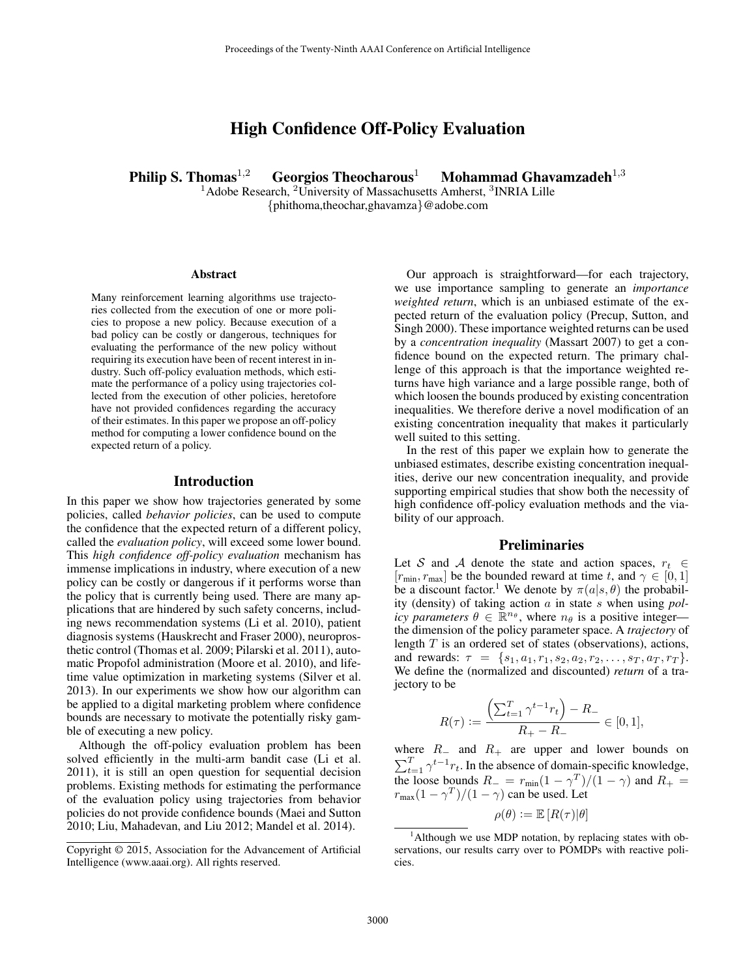# High Confidence Off-Policy Evaluation

Philip S. Thomas<sup>1,2</sup> Georgios Theocharous<sup>1</sup> Mohammad Ghavamzadeh<sup>1,3</sup>

 $1A$ dobe Research,  $2$ University of Massachusetts Amherst,  $3$ INRIA Lille {phithoma,theochar,ghavamza}@adobe.com

#### Abstract

Many reinforcement learning algorithms use trajectories collected from the execution of one or more policies to propose a new policy. Because execution of a bad policy can be costly or dangerous, techniques for evaluating the performance of the new policy without requiring its execution have been of recent interest in industry. Such off-policy evaluation methods, which estimate the performance of a policy using trajectories collected from the execution of other policies, heretofore have not provided confidences regarding the accuracy of their estimates. In this paper we propose an off-policy method for computing a lower confidence bound on the expected return of a policy.

#### Introduction

In this paper we show how trajectories generated by some policies, called *behavior policies*, can be used to compute the confidence that the expected return of a different policy, called the *evaluation policy*, will exceed some lower bound. This *high confidence off-policy evaluation* mechanism has immense implications in industry, where execution of a new policy can be costly or dangerous if it performs worse than the policy that is currently being used. There are many applications that are hindered by such safety concerns, including news recommendation systems (Li et al. 2010), patient diagnosis systems (Hauskrecht and Fraser 2000), neuroprosthetic control (Thomas et al. 2009; Pilarski et al. 2011), automatic Propofol administration (Moore et al. 2010), and lifetime value optimization in marketing systems (Silver et al. 2013). In our experiments we show how our algorithm can be applied to a digital marketing problem where confidence bounds are necessary to motivate the potentially risky gamble of executing a new policy.

Although the off-policy evaluation problem has been solved efficiently in the multi-arm bandit case (Li et al. 2011), it is still an open question for sequential decision problems. Existing methods for estimating the performance of the evaluation policy using trajectories from behavior policies do not provide confidence bounds (Maei and Sutton 2010; Liu, Mahadevan, and Liu 2012; Mandel et al. 2014).

Our approach is straightforward—for each trajectory, we use importance sampling to generate an *importance weighted return*, which is an unbiased estimate of the expected return of the evaluation policy (Precup, Sutton, and Singh 2000). These importance weighted returns can be used by a *concentration inequality* (Massart 2007) to get a confidence bound on the expected return. The primary challenge of this approach is that the importance weighted returns have high variance and a large possible range, both of which loosen the bounds produced by existing concentration inequalities. We therefore derive a novel modification of an existing concentration inequality that makes it particularly well suited to this setting.

In the rest of this paper we explain how to generate the unbiased estimates, describe existing concentration inequalities, derive our new concentration inequality, and provide supporting empirical studies that show both the necessity of high confidence off-policy evaluation methods and the viability of our approach.

### **Preliminaries**

Let S and A denote the state and action spaces,  $r_t \in$  $[r_{\min}, r_{\max}]$  be the bounded reward at time t, and  $\gamma \in [0, 1]$ be a discount factor.<sup>1</sup> We denote by  $\pi(a|s, \theta)$  the probability (density) of taking action a in state s when using *policy parameters*  $\theta \in \mathbb{R}^{n_{\theta}}$ , where  $n_{\theta}$  is a positive integer the dimension of the policy parameter space. A *trajectory* of length  $T$  is an ordered set of states (observations), actions, and rewards:  $\tau = \{s_1, a_1, r_1, s_2, a_2, r_2, \ldots, s_T, a_T, r_T\}.$ We define the (normalized and discounted) *return* of a trajectory to be

$$
R(\tau) := \frac{\left(\sum_{t=1}^{T} \gamma^{t-1} r_t\right) - R_-}{R_+ - R_-} \in [0, 1],
$$

where  $R_$  and  $R_+$  are upper and lower bounds on  $\sum_{t=1}^{T} \gamma^{t-1} r_t$ . In the absence of domain-specific knowledge, the loose bounds  $R_- = r_{min}(1 - \gamma^T)/(1 - \gamma)$  and  $R_+ =$  $r_{\text{max}}(1 - \gamma^T)/(1 - \gamma)$  can be used. Let

 $\rho(\theta) \coloneqq \mathbb{E} [R(\tau)|\theta]$ 

Copyright © 2015, Association for the Advancement of Artificial Intelligence (www.aaai.org). All rights reserved.

 $<sup>1</sup>$ Although we use MDP notation, by replacing states with ob-</sup> servations, our results carry over to POMDPs with reactive policies.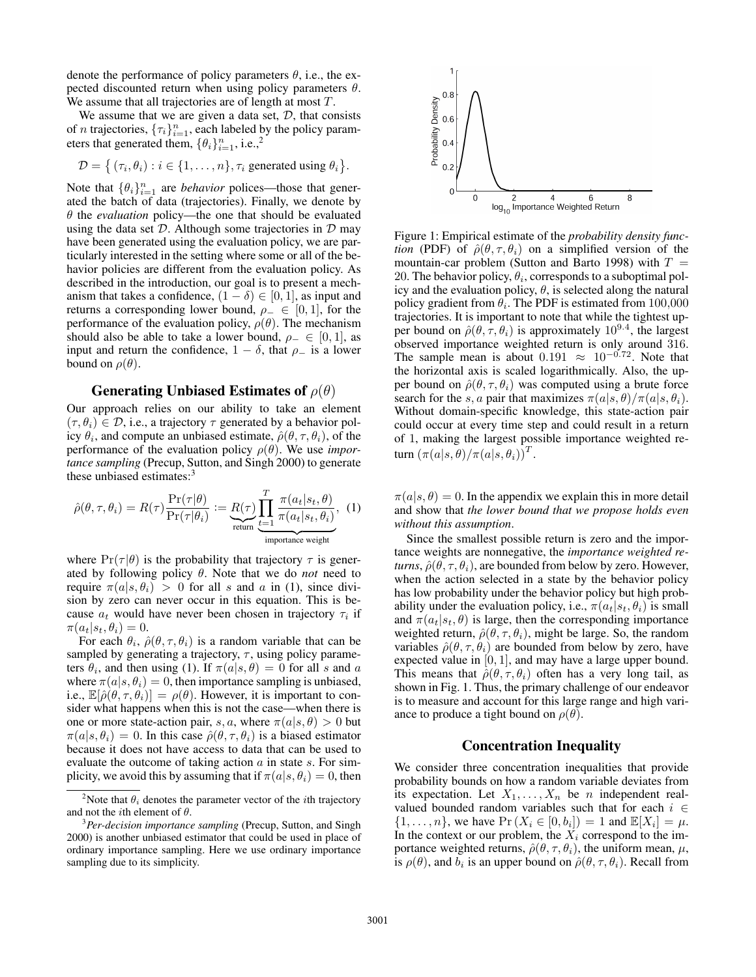denote the performance of policy parameters  $\theta$ , i.e., the expected discounted return when using policy parameters  $\theta$ . We assume that all trajectories are of length at most  $T$ .

We assume that we are given a data set,  $D$ , that consists of *n* trajectories,  $\{\tau_i\}_{i=1}^n$ , each labeled by the policy parameters that generated them,  $\{\theta_i\}_{i=1}^n$ , i.e.,<sup>2</sup>

$$
\mathcal{D} = \{ (\tau_i, \theta_i) : i \in \{1, \dots, n\}, \tau_i \text{ generated using } \theta_i \}.
$$

Note that  $\{\theta_i\}_{i=1}^n$  are *behavior* polices—those that generated the batch of data (trajectories). Finally, we denote by  $\theta$  the *evaluation* policy—the one that should be evaluated using the data set  $D$ . Although some trajectories in  $D$  may have been generated using the evaluation policy, we are particularly interested in the setting where some or all of the behavior policies are different from the evaluation policy. As described in the introduction, our goal is to present a mechanism that takes a confidence,  $(1 - \delta) \in [0, 1]$ , as input and returns a corresponding lower bound,  $\rho_-\in [0,1]$ , for the performance of the evaluation policy,  $\rho(\theta)$ . The mechanism should also be able to take a lower bound,  $\rho_-\in [0,1]$ , as input and return the confidence,  $1 - \delta$ , that  $\rho$ <sub>-</sub> is a lower bound on  $\rho(\theta)$ .

#### Generating Unbiased Estimates of  $\rho(\theta)$

Our approach relies on our ability to take an element  $(\tau, \theta_i) \in \mathcal{D}$ , i.e., a trajectory  $\tau$  generated by a behavior policy  $\theta_i$ , and compute an unbiased estimate,  $\hat{\rho}(\theta, \tau, \theta_i)$ , of the performance of the evaluation policy  $\rho(\theta)$ . We use *importance sampling* (Precup, Sutton, and Singh 2000) to generate these unbiased estimates:<sup>3</sup>

$$
\hat{\rho}(\theta, \tau, \theta_i) = R(\tau) \frac{\Pr(\tau | \theta)}{\Pr(\tau | \theta_i)} := \underbrace{R(\tau)}_{\text{return}} \underbrace{\prod_{t=1}^{T} \frac{\pi(a_t | s_t, \theta)}{\pi(a_t | s_t, \theta_i)}}_{\text{importance weight}}, \quad (1)
$$

where  $Pr(\tau|\theta)$  is the probability that trajectory  $\tau$  is generated by following policy  $\theta$ . Note that we do *not* need to require  $\pi(a|s, \theta_i) > 0$  for all s and a in (1), since division by zero can never occur in this equation. This is because  $a_t$  would have never been chosen in trajectory  $\tau_i$  if  $\pi(a_t|s_t, \theta_i) = 0.$ 

For each  $\theta_i$ ,  $\hat{\rho}(\theta, \tau, \theta_i)$  is a random variable that can be sampled by generating a trajectory,  $\tau$ , using policy parameters  $\theta_i$ , and then using (1). If  $\pi(a|s,\theta) = 0$  for all s and a where  $\pi(a|s, \theta_i) = 0$ , then importance sampling is unbiased, i.e.,  $\mathbb{E}[\hat{\rho}(\theta, \tau, \theta_i)] = \rho(\theta)$ . However, it is important to consider what happens when this is not the case—when there is one or more state-action pair, s, a, where  $\pi(a|s,\theta) > 0$  but  $\pi(a|s, \theta_i) = 0$ . In this case  $\hat{\rho}(\theta, \tau, \theta_i)$  is a biased estimator because it does not have access to data that can be used to evaluate the outcome of taking action  $\alpha$  in state  $\alpha$ . For simplicity, we avoid this by assuming that if  $\pi(a|s, \theta_i) = 0$ , then



Figure 1: Empirical estimate of the *probability density function* (PDF) of  $\hat{\rho}(\theta, \tau, \theta_i)$  on a simplified version of the mountain-car problem (Sutton and Barto 1998) with  $T =$ 20. The behavior policy,  $\theta_i$ , corresponds to a suboptimal policy and the evaluation policy,  $\theta$ , is selected along the natural policy gradient from  $\theta_i$ . The PDF is estimated from 100,000 trajectories. It is important to note that while the tightest upper bound on  $\hat{\rho}(\theta, \tau, \theta_i)$  is approximately  $10^{9.4}$ , the largest observed importance weighted return is only around 316. The sample mean is about  $0.191 \approx 10^{-0.72}$ . Note that the horizontal axis is scaled logarithmically. Also, the upper bound on  $\hat{\rho}(\theta, \tau, \theta_i)$  was computed using a brute force search for the s, a pair that maximizes  $\pi(a|s,\theta)/\pi(a|s,\theta_i)$ . Without domain-specific knowledge, this state-action pair could occur at every time step and could result in a return of 1, making the largest possible importance weighted return  $(\pi(a|s,\theta)/\pi(a|s,\theta_i))^T$ .

 $\pi(a|s, \theta) = 0$ . In the appendix we explain this in more detail and show that *the lower bound that we propose holds even without this assumption*.

Since the smallest possible return is zero and the importance weights are nonnegative, the *importance weighted returns*,  $\hat{\rho}(\theta, \tau, \theta_i)$ , are bounded from below by zero. However, when the action selected in a state by the behavior policy has low probability under the behavior policy but high probability under the evaluation policy, i.e.,  $\pi(a_t|s_t, \theta_i)$  is small and  $\pi(a_t|s_t, \theta)$  is large, then the corresponding importance weighted return,  $\hat{\rho}(\theta, \tau, \theta_i)$ , might be large. So, the random variables  $\hat{\rho}(\theta, \tau, \theta_i)$  are bounded from below by zero, have expected value in [0, 1], and may have a large upper bound. This means that  $\hat{\rho}(\theta, \tau, \theta_i)$  often has a very long tail, as shown in Fig. 1. Thus, the primary challenge of our endeavor is to measure and account for this large range and high variance to produce a tight bound on  $\rho(\theta)$ .

#### Concentration Inequality

We consider three concentration inequalities that provide probability bounds on how a random variable deviates from its expectation. Let  $X_1, \ldots, X_n$  be *n* independent realvalued bounded random variables such that for each  $i \in$  $\{1,\ldots,n\}$ , we have  $\Pr(X_i \in [0,b_i]) = 1$  and  $\mathbb{E}[X_i] = \mu$ . In the context or our problem, the  $X_i$  correspond to the importance weighted returns,  $\hat{\rho}(\theta, \tau, \theta_i)$ , the uniform mean,  $\mu$ , is  $\rho(\theta)$ , and  $b_i$  is an upper bound on  $\hat{\rho}(\theta, \tau, \theta_i)$ . Recall from

<sup>&</sup>lt;sup>2</sup>Note that  $\theta_i$  denotes the parameter vector of the *i*th trajectory and not the *i*th element of  $\theta$ .

<sup>3</sup>*Per-decision importance sampling* (Precup, Sutton, and Singh 2000) is another unbiased estimator that could be used in place of ordinary importance sampling. Here we use ordinary importance sampling due to its simplicity.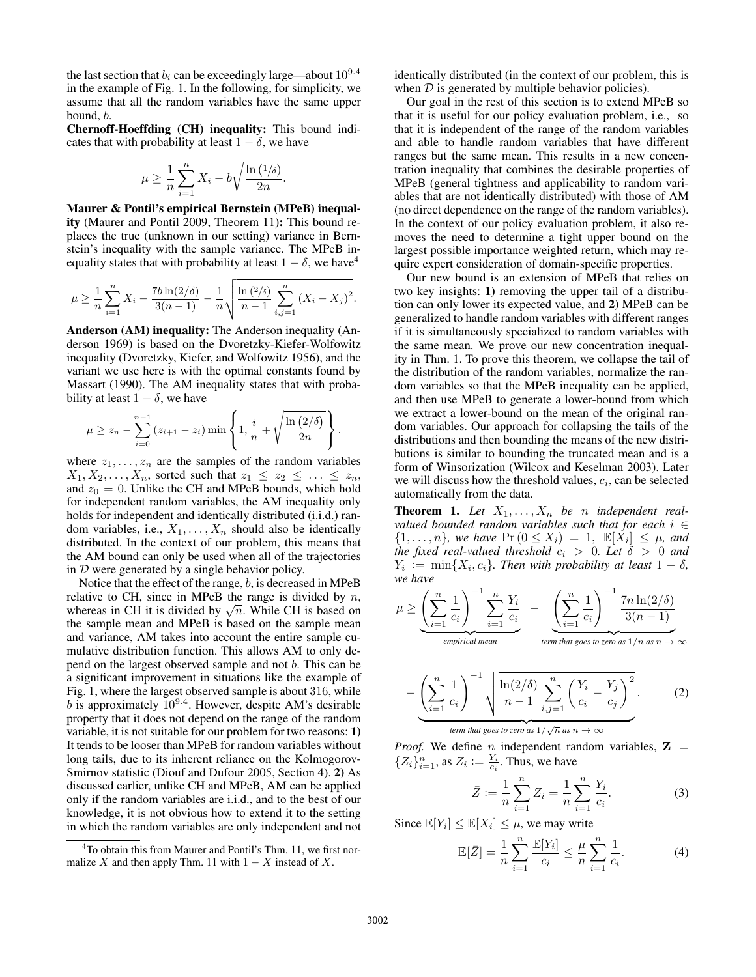the last section that  $b_i$  can be exceedingly large—about  $10^{9.4}$ in the example of Fig. 1. In the following, for simplicity, we assume that all the random variables have the same upper bound, b.

Chernoff-Hoeffding (CH) inequality: This bound indicates that with probability at least  $1 - \delta$ , we have

$$
\mu \ge \frac{1}{n} \sum_{i=1}^{n} X_i - b \sqrt{\frac{\ln(1/\delta)}{2n}}
$$

.

.

Maurer & Pontil's empirical Bernstein (MPeB) inequality (Maurer and Pontil 2009, Theorem 11): This bound replaces the true (unknown in our setting) variance in Bernstein's inequality with the sample variance. The MPeB inequality states that with probability at least  $1 - \delta$ , we have<sup>4</sup>

$$
\mu \geq \frac{1}{n} \sum_{i=1}^{n} X_i - \frac{7b \ln(2/\delta)}{3(n-1)} - \frac{1}{n} \sqrt{\frac{\ln(2/\delta)}{n-1} \sum_{i,j=1}^{n} (X_i - X_j)^2}.
$$

Anderson (AM) inequality: The Anderson inequality (Anderson 1969) is based on the Dvoretzky-Kiefer-Wolfowitz inequality (Dvoretzky, Kiefer, and Wolfowitz 1956), and the variant we use here is with the optimal constants found by Massart (1990). The AM inequality states that with probability at least  $1 - \delta$ , we have

$$
\mu \ge z_n - \sum_{i=0}^{n-1} (z_{i+1} - z_i) \min \left\{ 1, \frac{i}{n} + \sqrt{\frac{\ln (2/\delta)}{2n}} \right\}
$$

where  $z_1, \ldots, z_n$  are the samples of the random variables  $X_1, X_2, \ldots, X_n$ , sorted such that  $z_1 \leq z_2 \leq \ldots \leq z_n$ , and  $z_0 = 0$ . Unlike the CH and MPeB bounds, which hold for independent random variables, the AM inequality only holds for independent and identically distributed (i.i.d.) random variables, i.e.,  $X_1, \ldots, X_n$  should also be identically distributed. In the context of our problem, this means that the AM bound can only be used when all of the trajectories in  $D$  were generated by a single behavior policy.

Notice that the effect of the range, b, is decreased in MPeB relative to CH, since in MPeB the range is divided by  $n$ , relative to CH, since in MPeB the range is divided by  $n$ , whereas in CH it is divided by  $\sqrt{n}$ . While CH is based on the sample mean and MPeB is based on the sample mean and variance, AM takes into account the entire sample cumulative distribution function. This allows AM to only depend on the largest observed sample and not b. This can be a significant improvement in situations like the example of Fig. 1, where the largest observed sample is about 316, while b is approximately  $10^{9.4}$ . However, despite AM's desirable property that it does not depend on the range of the random variable, it is not suitable for our problem for two reasons: 1) It tends to be looser than MPeB for random variables without long tails, due to its inherent reliance on the Kolmogorov-Smirnov statistic (Diouf and Dufour 2005, Section 4). 2) As discussed earlier, unlike CH and MPeB, AM can be applied only if the random variables are i.i.d., and to the best of our knowledge, it is not obvious how to extend it to the setting in which the random variables are only independent and not

identically distributed (in the context of our problem, this is when  $D$  is generated by multiple behavior policies).

Our goal in the rest of this section is to extend MPeB so that it is useful for our policy evaluation problem, i.e., so that it is independent of the range of the random variables and able to handle random variables that have different ranges but the same mean. This results in a new concentration inequality that combines the desirable properties of MPeB (general tightness and applicability to random variables that are not identically distributed) with those of AM (no direct dependence on the range of the random variables). In the context of our policy evaluation problem, it also removes the need to determine a tight upper bound on the largest possible importance weighted return, which may require expert consideration of domain-specific properties.

Our new bound is an extension of MPeB that relies on two key insights: 1) removing the upper tail of a distribution can only lower its expected value, and 2) MPeB can be generalized to handle random variables with different ranges if it is simultaneously specialized to random variables with the same mean. We prove our new concentration inequality in Thm. 1. To prove this theorem, we collapse the tail of the distribution of the random variables, normalize the random variables so that the MPeB inequality can be applied, and then use MPeB to generate a lower-bound from which we extract a lower-bound on the mean of the original random variables. Our approach for collapsing the tails of the distributions and then bounding the means of the new distributions is similar to bounding the truncated mean and is a form of Winsorization (Wilcox and Keselman 2003). Later we will discuss how the threshold values,  $c_i$ , can be selected automatically from the data.

**Theorem 1.** Let  $X_1, \ldots, X_n$  be *n* independent real*valued bounded random variables such that for each* i ∈  $\{1, \ldots, n\}$ , we have  $\Pr(0 \le X_i) = 1$ ,  $\mathbb{E}[X_i] \le \mu$ , and *the fixed real-valued threshold*  $c_i > 0$ *. Let*  $\delta > 0$  *and*  $Y_i := \min\{X_i, c_i\}$ . Then with probability at least  $1 - \delta$ , *we have*

$$
\mu \geq \underbrace{\left(\sum_{i=1}^{n} \frac{1}{c_i}\right)^{-1} \sum_{i=1}^{n} \frac{Y_i}{c_i}}_{empirical \ mean} - \underbrace{\left(\sum_{i=1}^{n} \frac{1}{c_i}\right)^{-1} \frac{7n \ln(2/\delta)}{3(n-1)}}_{term that goes to zero as 1/n as n \rightarrow \infty}
$$

$$
-\left(\sum_{i=1}^{n}\frac{1}{c_i}\right)^{-1}\sqrt{\frac{\ln(2/\delta)}{n-1}\sum_{i,j=1}^{n}\left(\frac{Y_i}{c_i}-\frac{Y_j}{c_j}\right)^2}.
$$
 (2)

*term that goes to zero as*  $1/\sqrt{n}$  *as*  $n \to \infty$ 

*Proof.* We define *n* independent random variables,  $Z =$  $\{Z_i\}_{i=1}^n$ , as  $Z_i := \frac{Y_i}{c_i}$ . Thus, we have

$$
\bar{Z} := \frac{1}{n} \sum_{i=1}^{n} Z_i = \frac{1}{n} \sum_{i=1}^{n} \frac{Y_i}{c_i}.
$$
 (3)

Since  $\mathbb{E}[Y_i] \leq \mathbb{E}[X_i] \leq \mu$ , we may write

$$
\mathbb{E}[\bar{Z}] = \frac{1}{n} \sum_{i=1}^{n} \frac{\mathbb{E}[Y_i]}{c_i} \le \frac{\mu}{n} \sum_{i=1}^{n} \frac{1}{c_i}.
$$
 (4)

<sup>4</sup>To obtain this from Maurer and Pontil's Thm. 11, we first normalize X and then apply Thm. 11 with  $1 - X$  instead of X.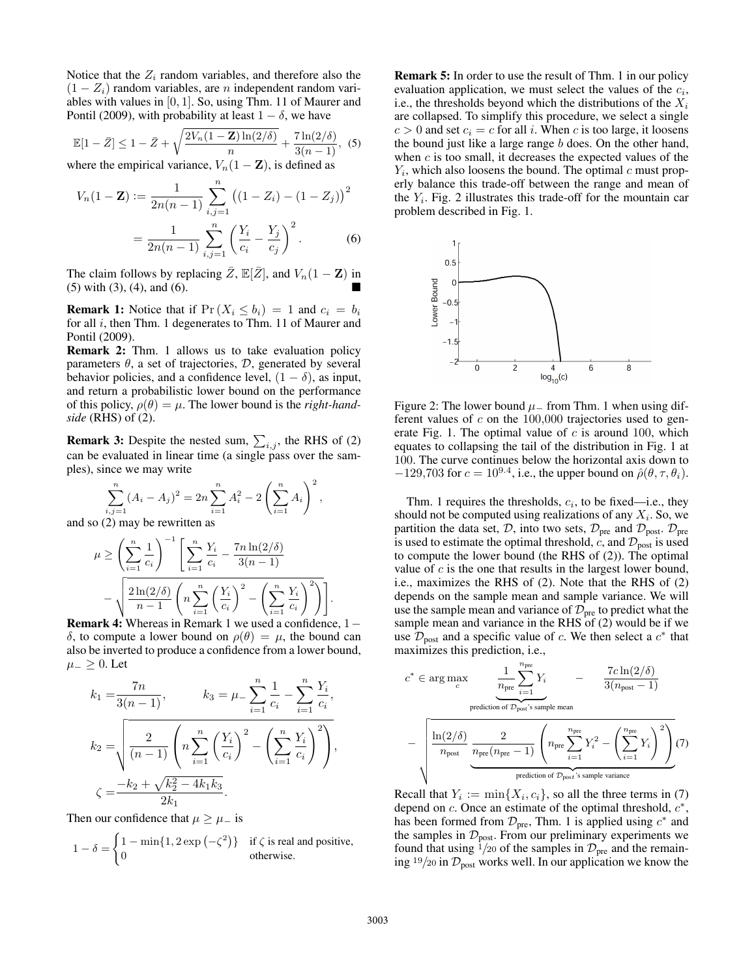Notice that the  $Z_i$  random variables, and therefore also the  $(1 - Z_i)$  random variables, are *n* independent random variables with values in [0, 1]. So, using Thm. 11 of Maurer and Pontil (2009), with probability at least  $1 - \delta$ , we have

$$
\mathbb{E}[1-\bar{Z}] \le 1 - \bar{Z} + \sqrt{\frac{2V_n(1-\mathbf{Z})\ln(2/\delta)}{n}} + \frac{7\ln(2/\delta)}{3(n-1)},
$$
 (5)

where the empirical variance,  $V_n(1 - \mathbf{Z})$ , is defined as

$$
V_n(1 - \mathbf{Z}) := \frac{1}{2n(n-1)} \sum_{i,j=1}^n ((1 - Z_i) - (1 - Z_j))^2
$$
  
= 
$$
\frac{1}{2n(n-1)} \sum_{i,j=1}^n \left(\frac{Y_i}{c_i} - \frac{Y_j}{c_j}\right)^2.
$$
 (6)

The claim follows by replacing  $\bar{Z}$ ,  $\mathbb{E}[\bar{Z}]$ , and  $V_n(1 - \mathbf{Z})$  in (5) with (3), (4), and (6).

**Remark 1:** Notice that if  $Pr(X_i \leq b_i) = 1$  and  $c_i = b_i$ for all *i*, then Thm. 1 degenerates to Thm. 11 of Maurer and Pontil (2009).

Remark 2: Thm. 1 allows us to take evaluation policy parameters  $\theta$ , a set of trajectories,  $\mathcal{D}$ , generated by several behavior policies, and a confidence level,  $(1 - \delta)$ , as input, and return a probabilistic lower bound on the performance of this policy,  $\rho(\theta) = \mu$ . The lower bound is the *right-handside* (RHS) of (2).

**Remark 3:** Despite the nested sum,  $\sum_{i,j}$ , the RHS of (2) can be evaluated in linear time (a single pass over the samples), since we may write

,

$$
\sum_{i,j=1}^{n} (A_i - A_j)^2 = 2n \sum_{i=1}^{n} A_i^2 - 2\left(\sum_{i=1}^{n} A_i\right)^2
$$

and so (2) may be rewritten as

$$
\mu \ge \left(\sum_{i=1}^n \frac{1}{c_i}\right)^{-1} \left[\sum_{i=1}^n \frac{Y_i}{c_i} - \frac{7n \ln(2/\delta)}{3(n-1)} - \sqrt{\frac{2\ln(2/\delta)}{n-1} \left(n \sum_{i=1}^n \left(\frac{Y_i}{c_i}\right)^2 - \left(\sum_{i=1}^n \frac{Y_i}{c_i}\right)^2\right)}\right].
$$
  
ark 4: Whereas in Remark 1, we used a confidence.

Remark 4: Whereas in Remark 1 we used a confidence, 1− δ, to compute a lower bound on  $ρ(θ) = μ$ , the bound can also be inverted to produce a confidence from a lower bound,  $\mu_-\geq 0$ . Let

$$
k_1 = \frac{7n}{3(n-1)}, \qquad k_3 = \mu - \sum_{i=1}^n \frac{1}{c_i} - \sum_{i=1}^n \frac{Y_i}{c_i},
$$

$$
k_2 = \sqrt{\frac{2}{(n-1)} \left( n \sum_{i=1}^n \left( \frac{Y_i}{c_i} \right)^2 - \left( \sum_{i=1}^n \frac{Y_i}{c_i} \right)^2 \right)},
$$

$$
\zeta = \frac{-k_2 + \sqrt{k_2^2 - 4k_1k_3}}{2k_1}.
$$

Then our confidence that  $\mu \geq \mu_{-}$  is

$$
1 - \delta = \begin{cases} 1 - \min\{1, 2\exp(-\zeta^2)\} & \text{if } \zeta \text{ is real and positive,} \\ 0 & \text{otherwise.} \end{cases}
$$

Remark 5: In order to use the result of Thm. 1 in our policy evaluation application, we must select the values of the  $c_i$ , i.e., the thresholds beyond which the distributions of the  $X_i$ are collapsed. To simplify this procedure, we select a single  $c > 0$  and set  $c_i = c$  for all i. When c is too large, it loosens the bound just like a large range  $b$  does. On the other hand, when  $c$  is too small, it decreases the expected values of the  $Y_i$ , which also loosens the bound. The optimal  $c$  must properly balance this trade-off between the range and mean of the  $Y_i$ . Fig. 2 illustrates this trade-off for the mountain car problem described in Fig. 1.



Figure 2: The lower bound  $\mu$  from Thm. 1 when using different values of  $c$  on the 100,000 trajectories used to generate Fig. 1. The optimal value of  $c$  is around 100, which equates to collapsing the tail of the distribution in Fig. 1 at 100. The curve continues below the horizontal axis down to  $-129,703$  for  $c = 10^{9.4}$ , i.e., the upper bound on  $\hat{\rho}(\theta, \tau, \theta_i)$ .

Thm. 1 requires the thresholds,  $c_i$ , to be fixed—i.e., they should not be computed using realizations of any  $X_i$ . So, we partition the data set, D, into two sets,  $\mathcal{D}_{pre}$  and  $\mathcal{D}_{post}$ .  $\mathcal{D}_{pre}$ is used to estimate the optimal threshold, c, and  $\mathcal{D}_{\text{post}}$  is used to compute the lower bound (the RHS of (2)). The optimal value of  $c$  is the one that results in the largest lower bound, i.e., maximizes the RHS of (2). Note that the RHS of (2) depends on the sample mean and sample variance. We will use the sample mean and variance of  $\mathcal{D}_{\text{pre}}$  to predict what the sample mean and variance in the RHS of (2) would be if we use  $\mathcal{D}_{\text{post}}$  and a specific value of c. We then select a  $c^*$  that maximizes this prediction, i.e.,

$$
c^* \in \arg\max\limits_{c} \underbrace{\frac{1}{n_{\text{pre}}}\sum\limits_{i=1}^{n_{\text{pre}}}{Y_i}}_{\text{prediction of } \mathcal{D}_{\text{post}} \text{'s sample mean}} - \underbrace{\frac{7c\ln(2/\delta)}{3(n_{\text{post}}-1)}}
$$

$$
-\sqrt{\frac{\ln(2/\delta)}{n_{\text{post}}}\underbrace{\frac{2}{n_{\text{pre}}(n_{\text{pre}}-1)}\left(n_{\text{pre}}\sum_{i=1}^{n_{\text{pre}}}Y_i^2-\left(\sum_{i=1}^{n_{\text{pre}}}Y_i\right)^2\right)}_{\text{prediction of } \mathcal{D}_{\text{post}}\text{'s sample variance}}}(7)
$$

Recall that  $Y_i := \min\{X_i, c_i\}$ , so all the three terms in (7) depend on  $c$ . Once an estimate of the optimal threshold,  $c^*$ , has been formed from  $\mathcal{D}_{pre}$ , Thm. 1 is applied using  $c^*$  and the samples in  $\mathcal{D}_{\text{post}}$ . From our preliminary experiments we found that using  $\frac{1}{20}$  of the samples in  $\mathcal{D}_{pre}$  and the remaining  $19/20$  in  $\mathcal{D}_{\text{post}}$  works well. In our application we know the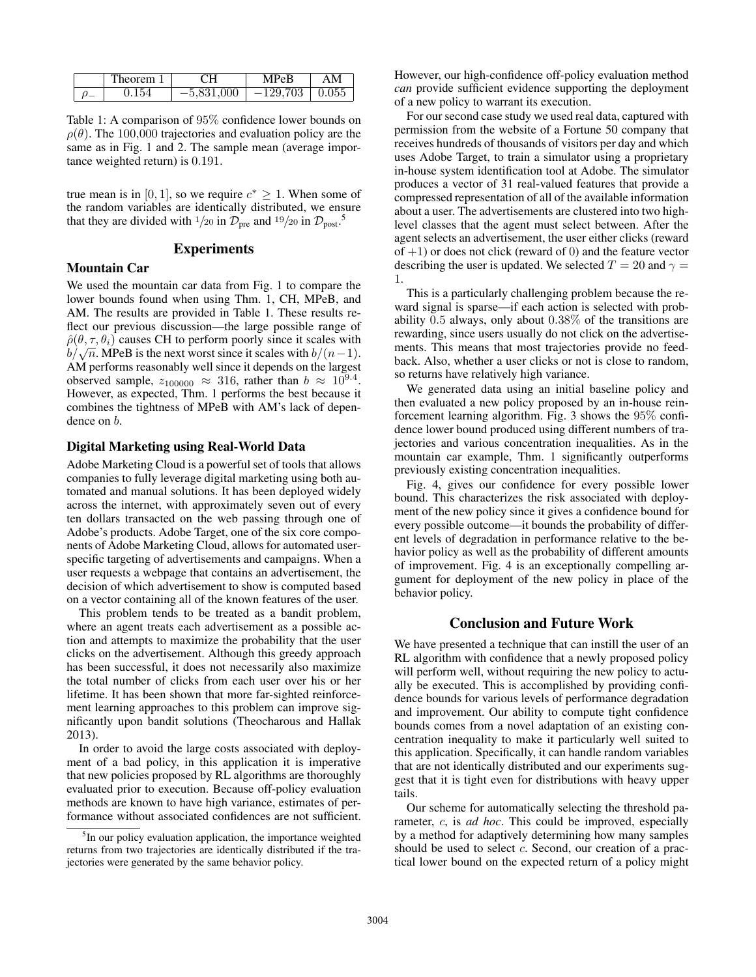|  | <b>Theorem</b> | CН           | <b>MPeB</b>        | AN |
|--|----------------|--------------|--------------------|----|
|  | 0.154          | $-5,831,000$ | $-129,703$   0.055 |    |

Table 1: A comparison of 95% confidence lower bounds on  $\rho(\theta)$ . The 100,000 trajectories and evaluation policy are the same as in Fig. 1 and 2. The sample mean (average importance weighted return) is 0.191.

true mean is in [0, 1], so we require  $c^* \geq 1$ . When some of the random variables are identically distributed, we ensure that they are divided with <sup>1</sup>/20 in  $\mathcal{D}_{\text{pre}}$  and <sup>19</sup>/20 in  $\mathcal{D}_{\text{post}}$ <sup>5</sup>.

#### Experiments

#### Mountain Car

We used the mountain car data from Fig. 1 to compare the lower bounds found when using Thm. 1, CH, MPeB, and AM. The results are provided in Table 1. These results reflect our previous discussion—the large possible range of  $\hat{\rho}(\theta, \tau, \theta_i)$  causes CH to perform poorly since it scales with  $\rho(\theta, \tau, \theta_i)$  causes CH to perform poorly since it scales with  $b/\sqrt{n}$ . MPeB is the next worst since it scales with  $b/(n-1)$ . AM performs reasonably well since it depends on the largest observed sample,  $z_{100000} \approx 316$ , rather than  $b \approx 10^{9.4}$ . However, as expected, Thm. 1 performs the best because it combines the tightness of MPeB with AM's lack of dependence on b.

### Digital Marketing using Real-World Data

Adobe Marketing Cloud is a powerful set of tools that allows companies to fully leverage digital marketing using both automated and manual solutions. It has been deployed widely across the internet, with approximately seven out of every ten dollars transacted on the web passing through one of Adobe's products. Adobe Target, one of the six core components of Adobe Marketing Cloud, allows for automated userspecific targeting of advertisements and campaigns. When a user requests a webpage that contains an advertisement, the decision of which advertisement to show is computed based on a vector containing all of the known features of the user.

This problem tends to be treated as a bandit problem, where an agent treats each advertisement as a possible action and attempts to maximize the probability that the user clicks on the advertisement. Although this greedy approach has been successful, it does not necessarily also maximize the total number of clicks from each user over his or her lifetime. It has been shown that more far-sighted reinforcement learning approaches to this problem can improve significantly upon bandit solutions (Theocharous and Hallak 2013).

In order to avoid the large costs associated with deployment of a bad policy, in this application it is imperative that new policies proposed by RL algorithms are thoroughly evaluated prior to execution. Because off-policy evaluation methods are known to have high variance, estimates of performance without associated confidences are not sufficient.

However, our high-confidence off-policy evaluation method *can* provide sufficient evidence supporting the deployment of a new policy to warrant its execution.

For our second case study we used real data, captured with permission from the website of a Fortune 50 company that receives hundreds of thousands of visitors per day and which uses Adobe Target, to train a simulator using a proprietary in-house system identification tool at Adobe. The simulator produces a vector of 31 real-valued features that provide a compressed representation of all of the available information about a user. The advertisements are clustered into two highlevel classes that the agent must select between. After the agent selects an advertisement, the user either clicks (reward of  $+1$ ) or does not click (reward of 0) and the feature vector describing the user is updated. We selected  $T = 20$  and  $\gamma =$ 1.

This is a particularly challenging problem because the reward signal is sparse—if each action is selected with probability 0.5 always, only about 0.38% of the transitions are rewarding, since users usually do not click on the advertisements. This means that most trajectories provide no feedback. Also, whether a user clicks or not is close to random, so returns have relatively high variance.

We generated data using an initial baseline policy and then evaluated a new policy proposed by an in-house reinforcement learning algorithm. Fig. 3 shows the 95% confidence lower bound produced using different numbers of trajectories and various concentration inequalities. As in the mountain car example, Thm. 1 significantly outperforms previously existing concentration inequalities.

Fig. 4, gives our confidence for every possible lower bound. This characterizes the risk associated with deployment of the new policy since it gives a confidence bound for every possible outcome—it bounds the probability of different levels of degradation in performance relative to the behavior policy as well as the probability of different amounts of improvement. Fig. 4 is an exceptionally compelling argument for deployment of the new policy in place of the behavior policy.

## Conclusion and Future Work

We have presented a technique that can instill the user of an RL algorithm with confidence that a newly proposed policy will perform well, without requiring the new policy to actually be executed. This is accomplished by providing confidence bounds for various levels of performance degradation and improvement. Our ability to compute tight confidence bounds comes from a novel adaptation of an existing concentration inequality to make it particularly well suited to this application. Specifically, it can handle random variables that are not identically distributed and our experiments suggest that it is tight even for distributions with heavy upper tails.

Our scheme for automatically selecting the threshold parameter, c, is *ad hoc*. This could be improved, especially by a method for adaptively determining how many samples should be used to select c. Second, our creation of a practical lower bound on the expected return of a policy might

<sup>&</sup>lt;sup>5</sup>In our policy evaluation application, the importance weighted returns from two trajectories are identically distributed if the trajectories were generated by the same behavior policy.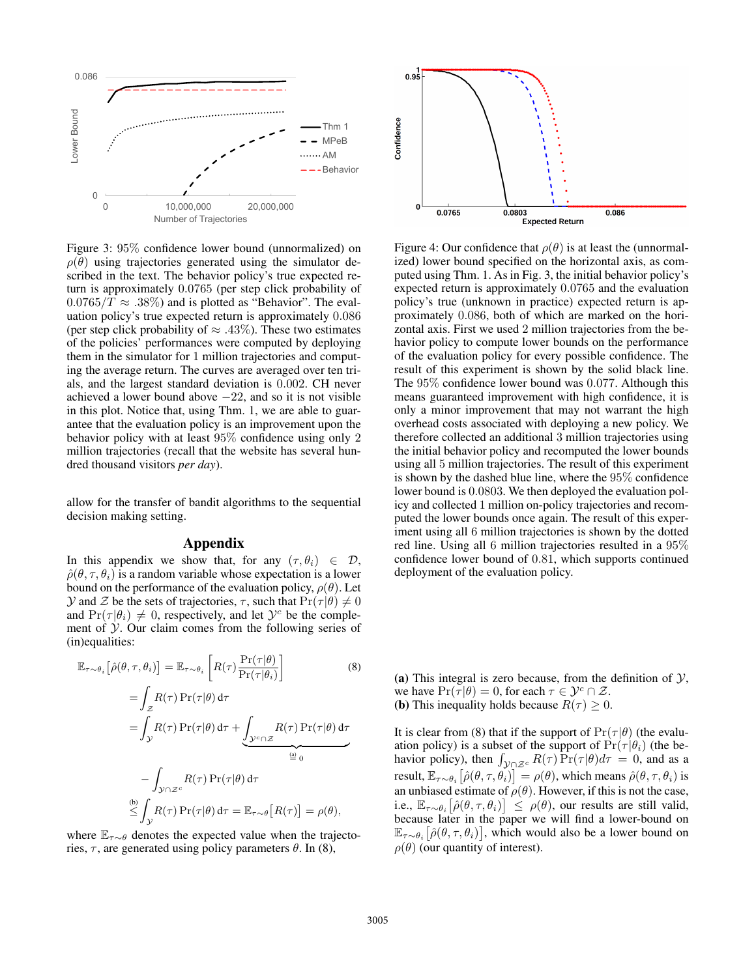

Figure 3: 95% confidence lower bound (unnormalized) on  $\rho(\theta)$  using trajectories generated using the simulator described in the text. The behavior policy's true expected return is approximately 0.0765 (per step click probability of  $0.0765/T \approx .38\%)$  and is plotted as "Behavior". The evaluation policy's true expected return is approximately 0.086 (per step click probability of  $\approx$  .43%). These two estimates of the policies' performances were computed by deploying them in the simulator for 1 million trajectories and computing the average return. The curves are averaged over ten trials, and the largest standard deviation is 0.002. CH never achieved a lower bound above  $-22$ , and so it is not visible in this plot. Notice that, using Thm. 1, we are able to guarantee that the evaluation policy is an improvement upon the behavior policy with at least 95% confidence using only 2 million trajectories (recall that the website has several hundred thousand visitors *per day*).

allow for the transfer of bandit algorithms to the sequential decision making setting.

#### Appendix

In this appendix we show that, for any  $(\tau, \theta_i) \in \mathcal{D}$ ,  $\hat{\rho}(\theta, \tau, \theta_i)$  is a random variable whose expectation is a lower bound on the performance of the evaluation policy,  $\rho(\theta)$ . Let  $\mathcal Y$  and  $\mathcal Z$  be the sets of trajectories,  $\tau$ , such that  $\Pr(\tau|\theta) \neq 0$ and  $Pr(\tau | \theta_i) \neq 0$ , respectively, and let  $\mathcal{Y}^c$  be the complement of  $\mathcal Y$ . Our claim comes from the following series of (in)equalities:

$$
\mathbb{E}_{\tau \sim \theta_i} [\hat{\rho}(\theta, \tau, \theta_i)] = \mathbb{E}_{\tau \sim \theta_i} \left[ R(\tau) \frac{\Pr(\tau | \theta)}{\Pr(\tau | \theta_i)} \right]
$$
(8)  

$$
= \int_{\mathcal{Z}} R(\tau) \Pr(\tau | \theta) d\tau
$$
  

$$
= \int_{\mathcal{Y}} R(\tau) \Pr(\tau | \theta) d\tau + \underbrace{\int_{\mathcal{Y}^c \cap \mathcal{Z}} R(\tau) \Pr(\tau | \theta) d\tau}_{\stackrel{(a)}{=} 0}
$$
  

$$
- \int_{\mathcal{Y} \cap \mathcal{Z}^c} R(\tau) \Pr(\tau | \theta) d\tau
$$
  

$$
\stackrel{(b)}{\leq} \int_{\mathcal{Y}} R(\tau) \Pr(\tau | \theta) d\tau = \mathbb{E}_{\tau \sim \theta} [R(\tau)] = \rho(\theta),
$$

where  $\mathbb{E}_{\tau \sim \theta}$  denotes the expected value when the trajectories,  $\tau$ , are generated using policy parameters  $\theta$ . In (8),



Figure 4: Our confidence that  $\rho(\theta)$  is at least the (unnormalized) lower bound specified on the horizontal axis, as computed using Thm. 1. As in Fig. 3, the initial behavior policy's expected return is approximately 0.0765 and the evaluation policy's true (unknown in practice) expected return is approximately 0.086, both of which are marked on the horizontal axis. First we used 2 million trajectories from the behavior policy to compute lower bounds on the performance of the evaluation policy for every possible confidence. The result of this experiment is shown by the solid black line. The 95% confidence lower bound was 0.077. Although this means guaranteed improvement with high confidence, it is only a minor improvement that may not warrant the high overhead costs associated with deploying a new policy. We therefore collected an additional 3 million trajectories using the initial behavior policy and recomputed the lower bounds using all 5 million trajectories. The result of this experiment is shown by the dashed blue line, where the 95% confidence lower bound is 0.0803. We then deployed the evaluation policy and collected 1 million on-policy trajectories and recomputed the lower bounds once again. The result of this experiment using all 6 million trajectories is shown by the dotted red line. Using all 6 million trajectories resulted in a 95% confidence lower bound of 0.81, which supports continued deployment of the evaluation policy.

(a) This integral is zero because, from the definition of  $\mathcal{Y}$ , we have  $Pr(\tau | \theta) = 0$ , for each  $\tau \in \mathcal{Y}^c \cap \mathcal{Z}$ . (b) This inequality holds because  $R(\tau) \geq 0$ .

It is clear from (8) that if the support of  $Pr(\tau | \theta)$  (the evaluation policy) is a subset of the support of  $Pr(\tau | \theta_i)$  (the behavior policy), then  $\int_{\mathcal{Y} \cap \mathcal{Z}^c} R(\tau) \overline{\Pr}(\tau | \theta) d\tau = 0$ , and as a result,  $\mathbb{E}_{\tau \sim \theta_i} \big[ \hat{\rho}(\theta, \tau, \theta_i) \big] = \rho(\theta)$ , which means  $\hat{\rho}(\theta, \tau, \theta_i)$  is an unbiased estimate of  $\rho(\theta)$ . However, if this is not the case, i.e.,  $\mathbb{E}_{\tau \sim \theta_i} \big[ \hat{\rho}(\theta, \tau, \theta_i) \big] \leq \rho(\theta)$ , our results are still valid, because later in the paper we will find a lower-bound on  $\mathbb{E}_{\tau \sim \theta_i} \big[ \hat{\rho}(\theta, \tau, \theta_i) \big]$ , which would also be a lower bound on  $\rho(\theta)$  (our quantity of interest).